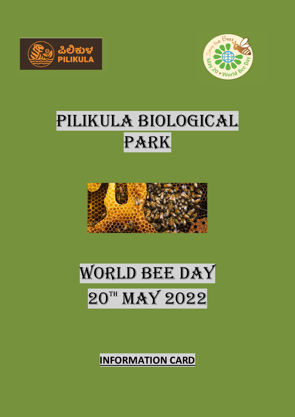



## PILIKULA BIOLOGICAL PARK





**INFORMATION CARD**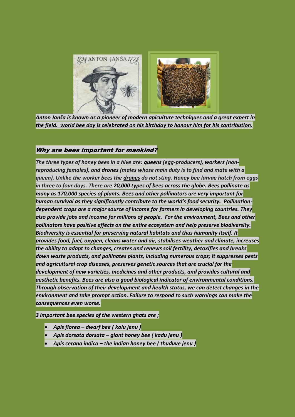

*Anton Janša is known as a pioneer of modern [apiculture](https://en.m.wikipedia.org/wiki/Apiculture) techniques and a great expert in the field. world bee day is celebrated on his birthday to honour him for his contribution.*

## Why are bees important for mankind?

*The three types of honey bees in a hive are: [queens](https://en.wikipedia.org/wiki/Queen_bee) (egg-producers), [workers](https://en.wikipedia.org/wiki/Worker_bee) (nonreproducing females), and [drones](https://en.wikipedia.org/wiki/Drone_(bee)) (males whose main duty is to find and mate with a queen). Unlike the worker bees the [drones](https://en.wikipedia.org/wiki/Drone_(bee)) do not sting. Honey bee larvae hatch from eggs in three to four days. There are 20,000 types of bees across the globe. Bees pollinate as many as 170,000 species of plants. Bees and other pollinators are very important for human survival as they significantly contribute to the world's food security. Pollinationdependent crops are a major source of income for farmers in developing countries. They also provide jobs and income for millions of people. For the environment, Bees and other pollinators have positive effects on the entire ecosystem and help preserve biodiversity. Biodiversity is essential for preserving natural habitats and thus humanity itself. It provides food, fuel, oxygen, cleans water and air, stabilises weather and climate, increases the ability to adapt to changes, creates and renews soil fertility, detoxifies and breaks down waste products, and pollinates plants, including numerous crops; it suppresses pests and agricultural crop diseases, preserves genetic sources that are crucial for the development of new varieties, medicines and other products, and provides cultural and aesthetic benefits. Bees are also a good biological indicator of environmental conditions. Through observation of their development and health status, we can detect changes in the environment and take prompt action. Failure to respond to such warnings can make the consequences even worse.*

*3 important bee species of the western ghats are ;*

- *Apis florea – dwarf bee ( kolu jenu )*
- *Apis dorsata dorsata – giant honey bee ( kadu jenu )*
- *Apis cerana indica – the indian honey bee ( thuduve jenu )*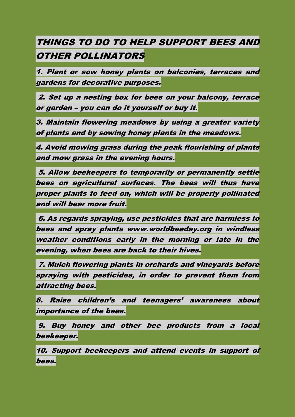## THINGS TO DO TO HELP SUPPORT BEES AND OTHER POLLINATORS

1. Plant or sow honey plants on balconies, terraces and gardens for decorative purposes.

2. Set up a nesting box for bees on your balcony, terrace or garden – you can do it yourself or buy it.

3. Maintain flowering meadows by using a greater variety of plants and by sowing honey plants in the meadows.

4. Avoid mowing grass during the peak flourishing of plants and mow grass in the evening hours.

5. Allow beekeepers to temporarily or permanently settle bees on agricultural surfaces. The bees will thus have proper plants to feed on, which will be properly pollinated and will bear more fruit.

6. As regards spraying, use pesticides that are harmless to bees and spray plants www.worldbeeday.org in windless weather conditions early in the morning or late in the evening, when bees are back to their hives.

7. Mulch flowering plants in orchards and vineyards before spraying with pesticides, in order to prevent them from attracting bees.

8. Raise children's and teenagers' awareness about importance of the bees.

9. Buy honey and other bee products from a local beekeeper.

10. Support beekeepers and attend events in support of bees.